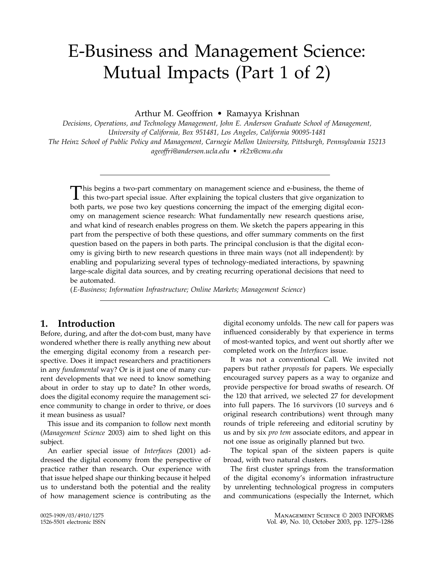# E-Business and Management Science: Mutual Impacts (Part 1 of 2)

Arthur M. Geoffrion • Ramayya Krishnan

Decisions, Operations, and Technology Management, John E. Anderson Graduate School of Management, University of California, Box 951481, Los Angeles, California 90095-1481 The Heinz School of Public Policy and Management, Carnegie Mellon University, Pittsburgh, Pennsylvania 15213 ageoffri@anderson.ucla.edu • rk2x@cmu.edu

This begins a two-part commentary on management science and e-business, the theme of<br>this two-part special issue. After explaining the topical clusters that give organization to<br>both parts, we pose two key questions concer this two-part special issue. After explaining the topical clusters that give organization to both parts, we pose two key questions concerning the impact of the emerging digital economy on management science research: What fundamentally new research questions arise, and what kind of research enables progress on them. We sketch the papers appearing in this part from the perspective of both these questions, and offer summary comments on the first question based on the papers in both parts. The principal conclusion is that the digital economy is giving birth to new research questions in three main ways (not all independent): by enabling and popularizing several types of technology-mediated interactions, by spawning large-scale digital data sources, and by creating recurring operational decisions that need to be automated.

(E-Business; Information Infrastructure; Online Markets; Management Science)

## 1. Introduction

Before, during, and after the dot-com bust, many have wondered whether there is really anything new about the emerging digital economy from a research perspective. Does it impact researchers and practitioners in any fundamental way? Or is it just one of many current developments that we need to know something about in order to stay up to date? In other words, does the digital economy require the management science community to change in order to thrive, or does it mean business as usual?

This issue and its companion to follow next month (Management Science 2003) aim to shed light on this subject.

An earlier special issue of Interfaces (2001) addressed the digital economy from the perspective of practice rather than research. Our experience with that issue helped shape our thinking because it helped us to understand both the potential and the reality of how management science is contributing as the digital economy unfolds. The new call for papers was influenced considerably by that experience in terms of most-wanted topics, and went out shortly after we completed work on the Interfaces issue.

It was not a conventional Call. We invited not papers but rather proposals for papers. We especially encouraged survey papers as a way to organize and provide perspective for broad swaths of research. Of the 120 that arrived, we selected 27 for development into full papers. The 16 survivors (10 surveys and 6 original research contributions) went through many rounds of triple refereeing and editorial scrutiny by us and by six *pro tem* associate editors, and appear in not one issue as originally planned but two.

The topical span of the sixteen papers is quite broad, with two natural clusters.

The first cluster springs from the transformation of the digital economy's information infrastructure by unrelenting technological progress in computers and communications (especially the Internet, which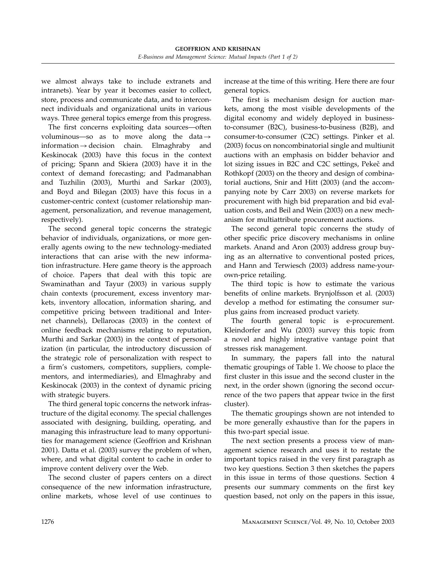we almost always take to include extranets and intranets). Year by year it becomes easier to collect, store, process and communicate data, and to interconnect individuals and organizational units in various ways. Three general topics emerge from this progress.

The first concerns exploiting data sources—often voluminous—so as to move along the data $\rightarrow$ information→decision chain. Elmaghraby and Keskinocak (2003) have this focus in the context of pricing; Spann and Skiera (2003) have it in the context of demand forecasting; and Padmanabhan and Tuzhilin (2003), Murthi and Sarkar (2003), and Boyd and Bilegan (2003) have this focus in a customer-centric context (customer relationship management, personalization, and revenue management, respectively).

The second general topic concerns the strategic behavior of individuals, organizations, or more generally agents owing to the new technology-mediated interactions that can arise with the new information infrastructure. Here game theory is the approach of choice. Papers that deal with this topic are Swaminathan and Tayur (2003) in various supply chain contexts (procurement, excess inventory markets, inventory allocation, information sharing, and competitive pricing between traditional and Internet channels), Dellarocas (2003) in the context of online feedback mechanisms relating to reputation, Murthi and Sarkar (2003) in the context of personalization (in particular, the introductory discussion of the strategic role of personalization with respect to a firm's customers, competitors, suppliers, complementors, and intermediaries), and Elmaghraby and Keskinocak (2003) in the context of dynamic pricing with strategic buyers.

The third general topic concerns the network infrastructure of the digital economy. The special challenges associated with designing, building, operating, and managing this infrastructure lead to many opportunities for management science (Geoffrion and Krishnan 2001). Datta et al. (2003) survey the problem of when, where, and what digital content to cache in order to improve content delivery over the Web.

The second cluster of papers centers on a direct consequence of the new information infrastructure, online markets, whose level of use continues to

increase at the time of this writing. Here there are four general topics.

The first is mechanism design for auction markets, among the most visible developments of the digital economy and widely deployed in businessto-consumer (B2C), business-to-business (B2B), and consumer-to-consumer (C2C) settings. Pinker et al. (2003) focus on noncombinatorial single and multiunit auctions with an emphasis on bidder behavior and lot sizing issues in B2C and C2C settings, Pekeč and Rothkopf (2003) on the theory and design of combinatorial auctions, Snir and Hitt (2003) (and the accompanying note by Carr 2003) on reverse markets for procurement with high bid preparation and bid evaluation costs, and Beil and Wein (2003) on a new mechanism for multiattribute procurement auctions.

The second general topic concerns the study of other specific price discovery mechanisms in online markets. Anand and Aron (2003) address group buying as an alternative to conventional posted prices, and Hann and Terwiesch (2003) address name-yourown-price retailing.

The third topic is how to estimate the various benefits of online markets. Brynjolfsson et al. (2003) develop a method for estimating the consumer surplus gains from increased product variety.

The fourth general topic is e-procurement. Kleindorfer and Wu (2003) survey this topic from a novel and highly integrative vantage point that stresses risk management.

In summary, the papers fall into the natural thematic groupings of Table 1. We choose to place the first cluster in this issue and the second cluster in the next, in the order shown (ignoring the second occurrence of the two papers that appear twice in the first cluster).

The thematic groupings shown are not intended to be more generally exhaustive than for the papers in this two-part special issue.

The next section presents a process view of management science research and uses it to restate the important topics raised in the very first paragraph as two key questions. Section 3 then sketches the papers in this issue in terms of those questions. Section 4 presents our summary comments on the first key question based, not only on the papers in this issue,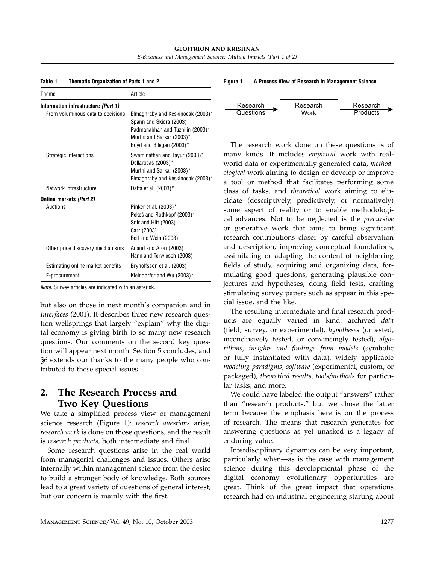#### GEOFFRION AND KRISHNAN E-Business and Management Science: Mutual Impacts (Part 1 of 2)

| Theme                               | Article                                                                                                                                                   |
|-------------------------------------|-----------------------------------------------------------------------------------------------------------------------------------------------------------|
| Information infrastructure (Part 1) |                                                                                                                                                           |
| From voluminous data to decisions   | Elmaghraby and Keskinocak (2003)*<br>Spann and Skiera (2003)<br>Padmanabhan and Tuzhilin (2003)*<br>Murthi and Sarkar (2003)*<br>Boyd and Bilegan (2003)* |
| Strategic interactions              | Swaminathan and Tayur (2003)*<br>Dellarocas (2003)*<br>Murthi and Sarkar (2003)*<br>Elmaghraby and Keskinocak (2003)*                                     |
| Network infrastructure              | Datta et al. (2003)*                                                                                                                                      |
| Online markets (Part 2)             |                                                                                                                                                           |
| Auctions                            | Pinker et al. (2003)*<br>Pekeč and Rothkopf (2003)*<br>Snir and Hitt (2003)<br>Carr (2003)<br>Beil and Wein (2003)                                        |
| Other price discovery mechanisms    | Anand and Aron (2003)<br>Hann and Terwiesch (2003)                                                                                                        |
| Estimating online market benefits   | Brynolfsson et al. (2003)                                                                                                                                 |
| E-procurement                       | Kleindorfer and Wu (2003)*                                                                                                                                |

Table 1 Thematic Organization of Parts 1 and 2

Note. Survey articles are indicated with an asterisk.

but also on those in next month's companion and in Interfaces (2001). It describes three new research question wellsprings that largely "explain" why the digital economy is giving birth to so many new research questions. Our comments on the second key question will appear next month. Section 5 concludes, and §6 extends our thanks to the many people who contributed to these special issues.

## 2. The Research Process and Two Key Questions

We take a simplified process view of management science research (Figure 1): research questions arise, research work is done on those questions, and the result is research products, both intermediate and final.

Some research questions arise in the real world from managerial challenges and issues. Others arise internally within management science from the desire to build a stronger body of knowledge. Both sources lead to a great variety of questions of general interest, but our concern is mainly with the first.

#### Figure 1 A Process View of Research in Management Science



The research work done on these questions is of many kinds. It includes empirical work with realworld data or experimentally generated data, methodological work aiming to design or develop or improve a tool or method that facilitates performing some class of tasks, and theoretical work aiming to elucidate (descriptively, predictively, or normatively) some aspect of reality or to enable methodological advances. Not to be neglected is the precursive or generative work that aims to bring significant research contributions closer by careful observation and description, improving conceptual foundations, assimilating or adapting the content of neighboring fields of study, acquiring and organizing data, formulating good questions, generating plausible conjectures and hypotheses, doing field tests, crafting stimulating survey papers such as appear in this special issue, and the like.

The resulting intermediate and final research products are equally varied in kind: archived data (field, survey, or experimental), hypotheses (untested, inconclusively tested, or convincingly tested), algorithms, insights and findings from models (symbolic or fully instantiated with data), widely applicable modeling paradigms, software (experimental, custom, or packaged), theoretical results, tools/methods for particular tasks, and more.

We could have labeled the output "answers" rather than "research products," but we chose the latter term because the emphasis here is on the process of research. The means that research generates for answering questions as yet unasked is a legacy of enduring value.

Interdisciplinary dynamics can be very important, particularly when—as is the case with management science during this developmental phase of the digital economy—evolutionary opportunities are great. Think of the great impact that operations research had on industrial engineering starting about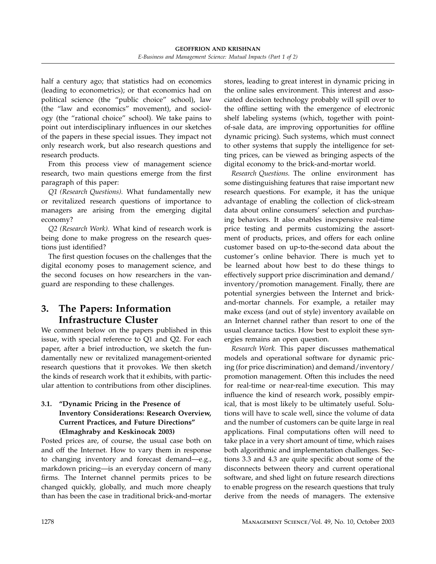half a century ago; that statistics had on economics (leading to econometrics); or that economics had on political science (the "public choice" school), law (the "law and economics" movement), and sociology (the "rational choice" school). We take pains to point out interdisciplinary influences in our sketches of the papers in these special issues. They impact not only research work, but also research questions and research products.

From this process view of management science research, two main questions emerge from the first paragraph of this paper:

Q1 (Research Questions). What fundamentally new or revitalized research questions of importance to managers are arising from the emerging digital economy?

Q2 (Research Work). What kind of research work is being done to make progress on the research questions just identified?

The first question focuses on the challenges that the digital economy poses to management science, and the second focuses on how researchers in the vanguard are responding to these challenges.

# 3. The Papers: Information Infrastructure Cluster

We comment below on the papers published in this issue, with special reference to Q1 and Q2. For each paper, after a brief introduction, we sketch the fundamentally new or revitalized management-oriented research questions that it provokes. We then sketch the kinds of research work that it exhibits, with particular attention to contributions from other disciplines.

### 3.1. "Dynamic Pricing in the Presence of Inventory Considerations: Research Overview, Current Practices, and Future Directions" (Elmaghraby and Keskinocak 2003)

Posted prices are, of course, the usual case both on and off the Internet. How to vary them in response to changing inventory and forecast demand—e.g., markdown pricing—is an everyday concern of many firms. The Internet channel permits prices to be changed quickly, globally, and much more cheaply than has been the case in traditional brick-and-mortar

stores, leading to great interest in dynamic pricing in the online sales environment. This interest and associated decision technology probably will spill over to the offline setting with the emergence of electronic shelf labeling systems (which, together with pointof-sale data, are improving opportunities for offline dynamic pricing). Such systems, which must connect to other systems that supply the intelligence for setting prices, can be viewed as bringing aspects of the digital economy to the brick-and-mortar world.

Research Questions. The online environment has some distinguishing features that raise important new research questions. For example, it has the unique advantage of enabling the collection of click-stream data about online consumers' selection and purchasing behaviors. It also enables inexpensive real-time price testing and permits customizing the assortment of products, prices, and offers for each online customer based on up-to-the-second data about the customer's online behavior. There is much yet to be learned about how best to do these things to effectively support price discrimination and demand/ inventory/promotion management. Finally, there are potential synergies between the Internet and brickand-mortar channels. For example, a retailer may make excess (and out of style) inventory available on an Internet channel rather than resort to one of the usual clearance tactics. How best to exploit these synergies remains an open question.

Research Work. This paper discusses mathematical models and operational software for dynamic pricing (for price discrimination) and demand/inventory/ promotion management. Often this includes the need for real-time or near-real-time execution. This may influence the kind of research work, possibly empirical, that is most likely to be ultimately useful. Solutions will have to scale well, since the volume of data and the number of customers can be quite large in real applications. Final computations often will need to take place in a very short amount of time, which raises both algorithmic and implementation challenges. Sections 3.3 and 4.3 are quite specific about some of the disconnects between theory and current operational software, and shed light on future research directions to enable progress on the research questions that truly derive from the needs of managers. The extensive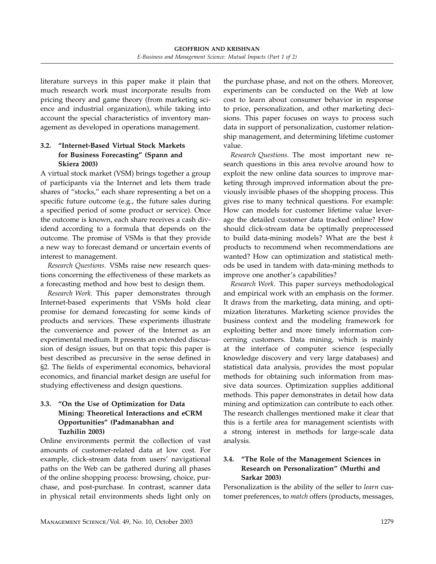literature surveys in this paper make it plain that much research work must incorporate results from pricing theory and game theory (from marketing science and industrial organization), while taking into account the special characteristics of inventory management as developed in operations management.

#### 3.2. "Internet-Based Virtual Stock Markets for Business Forecasting" (Spann and Skiera 2003)

A virtual stock market (VSM) brings together a group of participants via the Internet and lets them trade shares of "stocks," each share representing a bet on a specific future outcome (e.g., the future sales during a specified period of some product or service). Once the outcome is known, each share receives a cash dividend according to a formula that depends on the outcome. The promise of VSMs is that they provide a new way to forecast demand or uncertain events of interest to management.

Research Questions. VSMs raise new research questions concerning the effectiveness of these markets as a forecasting method and how best to design them.

Research Work. This paper demonstrates through Internet-based experiments that VSMs hold clear promise for demand forecasting for some kinds of products and services. These experiments illustrate the convenience and power of the Internet as an experimental medium. It presents an extended discussion of design issues, but on that topic this paper is best described as precursive in the sense defined in §2. The fields of experimental economics, behavioral economics, and financial market design are useful for studying effectiveness and design questions.

## 3.3. "On the Use of Optimization for Data Mining: Theoretical Interactions and eCRM Opportunities" (Padmanabhan and Tuzhilin 2003)

Online environments permit the collection of vast amounts of customer-related data at low cost. For example, click-stream data from users' navigational paths on the Web can be gathered during all phases of the online shopping process: browsing, choice, purchase, and post-purchase. In contrast, scanner data in physical retail environments sheds light only on

the purchase phase, and not on the others. Moreover, experiments can be conducted on the Web at low cost to learn about consumer behavior in response to price, personalization, and other marketing decisions. This paper focuses on ways to process such data in support of personalization, customer relationship management, and determining lifetime customer value.

Research Questions. The most important new research questions in this area revolve around how to exploit the new online data sources to improve marketing through improved information about the previously invisible phases of the shopping process. This gives rise to many technical questions. For example: How can models for customer lifetime value leverage the detailed customer data tracked online? How should click-stream data be optimally preprocessed to build data-mining models? What are the best  $k$ products to recommend when recommendations are wanted? How can optimization and statistical methods be used in tandem with data-mining methods to improve one another's capabilities?

Research Work. This paper surveys methodological and empirical work with an emphasis on the former. It draws from the marketing, data mining, and optimization literatures. Marketing science provides the business context and the modeling framework for exploiting better and more timely information concerning customers. Data mining, which is mainly at the interface of computer science (especially knowledge discovery and very large databases) and statistical data analysis, provides the most popular methods for obtaining such information from massive data sources. Optimization supplies additional methods. This paper demonstrates in detail how data mining and optimization can contribute to each other. The research challenges mentioned make it clear that this is a fertile area for management scientists with a strong interest in methods for large-scale data analysis.

### 3.4. "The Role of the Management Sciences in Research on Personalization" (Murthi and Sarkar 2003)

Personalization is the ability of the seller to learn customer preferences, to match offers (products, messages,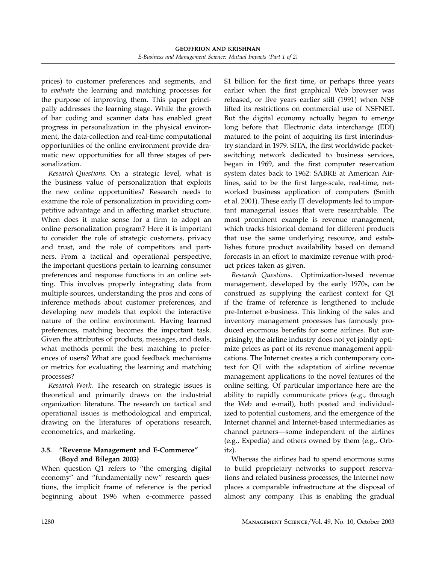prices) to customer preferences and segments, and to evaluate the learning and matching processes for the purpose of improving them. This paper principally addresses the learning stage. While the growth of bar coding and scanner data has enabled great progress in personalization in the physical environment, the data-collection and real-time computational opportunities of the online environment provide dramatic new opportunities for all three stages of personalization.

Research Questions. On a strategic level, what is the business value of personalization that exploits the new online opportunities? Research needs to examine the role of personalization in providing competitive advantage and in affecting market structure. When does it make sense for a firm to adopt an online personalization program? Here it is important to consider the role of strategic customers, privacy and trust, and the role of competitors and partners. From a tactical and operational perspective, the important questions pertain to learning consumer preferences and response functions in an online setting. This involves properly integrating data from multiple sources, understanding the pros and cons of inference methods about customer preferences, and developing new models that exploit the interactive nature of the online environment. Having learned preferences, matching becomes the important task. Given the attributes of products, messages, and deals, what methods permit the best matching to preferences of users? What are good feedback mechanisms or metrics for evaluating the learning and matching processes?

Research Work. The research on strategic issues is theoretical and primarily draws on the industrial organization literature. The research on tactical and operational issues is methodological and empirical, drawing on the literatures of operations research, econometrics, and marketing.

#### 3.5. "Revenue Management and E-Commerce" (Boyd and Bilegan 2003)

When question Q1 refers to "the emerging digital economy" and "fundamentally new" research questions, the implicit frame of reference is the period beginning about 1996 when e-commerce passed \$1 billion for the first time, or perhaps three years earlier when the first graphical Web browser was released, or five years earlier still (1991) when NSF lifted its restrictions on commercial use of NSFNET. But the digital economy actually began to emerge long before that. Electronic data interchange (EDI) matured to the point of acquiring its first interindustry standard in 1979. SITA, the first worldwide packetswitching network dedicated to business services, began in 1969, and the first computer reservation system dates back to 1962: SABRE at American Airlines, said to be the first large-scale, real-time, networked business application of computers (Smith et al. 2001). These early IT developments led to important managerial issues that were researchable. The most prominent example is revenue management, which tracks historical demand for different products that use the same underlying resource, and establishes future product availability based on demand forecasts in an effort to maximize revenue with product prices taken as given.

Research Questions. Optimization-based revenue management, developed by the early 1970s, can be construed as supplying the earliest context for Q1 if the frame of reference is lengthened to include pre-Internet e-business. This linking of the sales and inventory management processes has famously produced enormous benefits for some airlines. But surprisingly, the airline industry does not yet jointly optimize prices as part of its revenue management applications. The Internet creates a rich contemporary context for Q1 with the adaptation of airline revenue management applications to the novel features of the online setting. Of particular importance here are the ability to rapidly communicate prices (e.g., through the Web and e-mail), both posted and individualized to potential customers, and the emergence of the Internet channel and Internet-based intermediaries as channel partners—some independent of the airlines (e.g., Expedia) and others owned by them (e.g., Orbitz).

Whereas the airlines had to spend enormous sums to build proprietary networks to support reservations and related business processes, the Internet now places a comparable infrastructure at the disposal of almost any company. This is enabling the gradual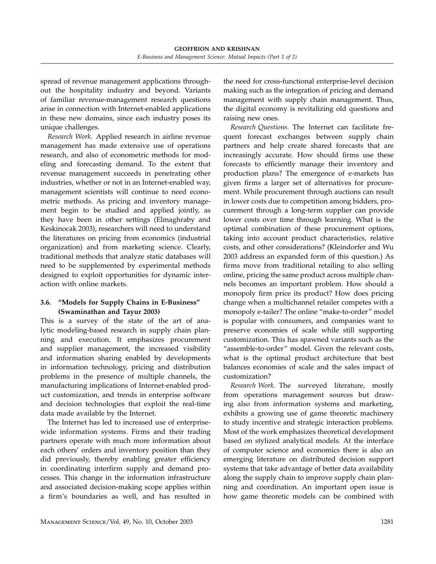spread of revenue management applications throughout the hospitality industry and beyond. Variants of familiar revenue-management research questions arise in connection with Internet-enabled applications in these new domains, since each industry poses its unique challenges.

Research Work. Applied research in airline revenue management has made extensive use of operations research, and also of econometric methods for modeling and forecasting demand. To the extent that revenue management succeeds in penetrating other industries, whether or not in an Internet-enabled way, management scientists will continue to need econometric methods. As pricing and inventory management begin to be studied and applied jointly, as they have been in other settings (Elmaghraby and Keskinocak 2003), researchers will need to understand the literatures on pricing from economics (industrial organization) and from marketing science. Clearly, traditional methods that analyze static databases will need to be supplemented by experimental methods designed to exploit opportunities for dynamic interaction with online markets.

#### 3.6. "Models for Supply Chains in E-Business" (Swaminathan and Tayur 2003)

This is a survey of the state of the art of analytic modeling-based research in supply chain planning and execution. It emphasizes procurement and supplier management, the increased visibility and information sharing enabled by developments in information technology, pricing and distribution problems in the presence of multiple channels, the manufacturing implications of Internet-enabled product customization, and trends in enterprise software and decision technologies that exploit the real-time data made available by the Internet.

The Internet has led to increased use of enterprisewide information systems. Firms and their trading partners operate with much more information about each others' orders and inventory position than they did previously, thereby enabling greater efficiency in coordinating interfirm supply and demand processes. This change in the information infrastructure and associated decision-making scope applies within a firm's boundaries as well, and has resulted in the need for cross-functional enterprise-level decision making such as the integration of pricing and demand management with supply chain management. Thus, the digital economy is revitalizing old questions and raising new ones.

Research Questions. The Internet can facilitate frequent forecast exchanges between supply chain partners and help create shared forecasts that are increasingly accurate. How should firms use these forecasts to efficiently manage their inventory and production plans? The emergence of e-markets has given firms a larger set of alternatives for procurement. While procurement through auctions can result in lower costs due to competition among bidders, procurement through a long-term supplier can provide lower costs over time through learning. What is the optimal combination of these procurement options, taking into account product characteristics, relative costs, and other considerations? (Kleindorfer and Wu 2003 address an expanded form of this question.) As firms move from traditional retailing to also selling online, pricing the same product across multiple channels becomes an important problem. How should a monopoly firm price its product? How does pricing change when a multichannel retailer competes with a monopoly e-tailer? The online "make-to-order" model is popular with consumers, and companies want to preserve economies of scale while still supporting customization. This has spawned variants such as the "assemble-to-order" model. Given the relevant costs, what is the optimal product architecture that best balances economies of scale and the sales impact of customization?

Research Work. The surveyed literature, mostly from operations management sources but drawing also from information systems and marketing, exhibits a growing use of game theoretic machinery to study incentive and strategic interaction problems. Most of the work emphasizes theoretical development based on stylized analytical models. At the interface of computer science and economics there is also an emerging literature on distributed decision support systems that take advantage of better data availability along the supply chain to improve supply chain planning and coordination. An important open issue is how game theoretic models can be combined with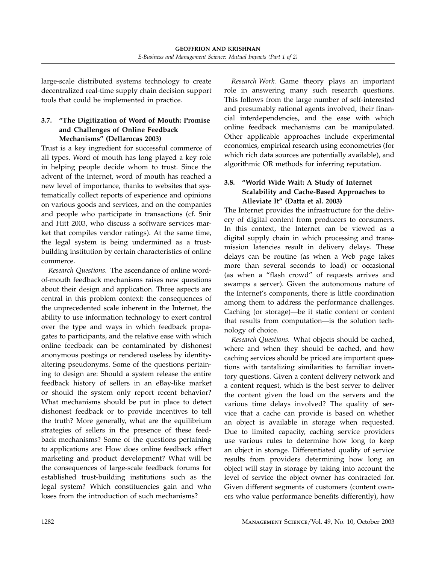large-scale distributed systems technology to create decentralized real-time supply chain decision support tools that could be implemented in practice.

#### 3.7. "The Digitization of Word of Mouth: Promise and Challenges of Online Feedback Mechanisms" (Dellarocas 2003)

Trust is a key ingredient for successful commerce of all types. Word of mouth has long played a key role in helping people decide whom to trust. Since the advent of the Internet, word of mouth has reached a new level of importance, thanks to websites that systematically collect reports of experience and opinions on various goods and services, and on the companies and people who participate in transactions (cf. Snir and Hitt 2003, who discuss a software services market that compiles vendor ratings). At the same time, the legal system is being undermined as a trustbuilding institution by certain characteristics of online commerce.

Research Questions. The ascendance of online wordof-mouth feedback mechanisms raises new questions about their design and application. Three aspects are central in this problem context: the consequences of the unprecedented scale inherent in the Internet, the ability to use information technology to exert control over the type and ways in which feedback propagates to participants, and the relative ease with which online feedback can be contaminated by dishonest anonymous postings or rendered useless by identityaltering pseudonyms. Some of the questions pertaining to design are: Should a system release the entire feedback history of sellers in an eBay-like market or should the system only report recent behavior? What mechanisms should be put in place to detect dishonest feedback or to provide incentives to tell the truth? More generally, what are the equilibrium strategies of sellers in the presence of these feedback mechanisms? Some of the questions pertaining to applications are: How does online feedback affect marketing and product development? What will be the consequences of large-scale feedback forums for established trust-building institutions such as the legal system? Which constituencies gain and who loses from the introduction of such mechanisms?

Research Work. Game theory plays an important role in answering many such research questions. This follows from the large number of self-interested and presumably rational agents involved, their financial interdependencies, and the ease with which online feedback mechanisms can be manipulated. Other applicable approaches include experimental economics, empirical research using econometrics (for which rich data sources are potentially available), and algorithmic OR methods for inferring reputation.

#### 3.8. "World Wide Wait: A Study of Internet Scalability and Cache-Based Approaches to Alleviate It" (Datta et al. 2003)

The Internet provides the infrastructure for the delivery of digital content from producers to consumers. In this context, the Internet can be viewed as a digital supply chain in which processing and transmission latencies result in delivery delays. These delays can be routine (as when a Web page takes more than several seconds to load) or occasional (as when a "flash crowd" of requests arrives and swamps a server). Given the autonomous nature of the Internet's components, there is little coordination among them to address the performance challenges. Caching (or storage)—be it static content or content that results from computation—is the solution technology of choice.

Research Questions. What objects should be cached, where and when they should be cached, and how caching services should be priced are important questions with tantalizing similarities to familiar inventory questions. Given a content delivery network and a content request, which is the best server to deliver the content given the load on the servers and the various time delays involved? The quality of service that a cache can provide is based on whether an object is available in storage when requested. Due to limited capacity, caching service providers use various rules to determine how long to keep an object in storage. Differentiated quality of service results from providers determining how long an object will stay in storage by taking into account the level of service the object owner has contracted for. Given different segments of customers (content owners who value performance benefits differently), how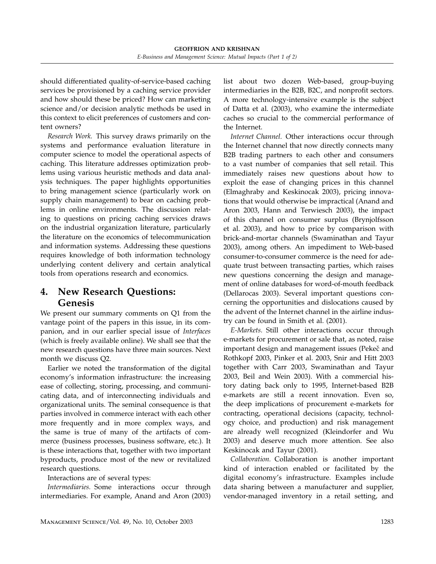should differentiated quality-of-service-based caching services be provisioned by a caching service provider and how should these be priced? How can marketing science and/or decision analytic methods be used in this context to elicit preferences of customers and content owners?

Research Work. This survey draws primarily on the systems and performance evaluation literature in computer science to model the operational aspects of caching. This literature addresses optimization problems using various heuristic methods and data analysis techniques. The paper highlights opportunities to bring management science (particularly work on supply chain management) to bear on caching problems in online environments. The discussion relating to questions on pricing caching services draws on the industrial organization literature, particularly the literature on the economics of telecommunication and information systems. Addressing these questions requires knowledge of both information technology underlying content delivery and certain analytical tools from operations research and economics.

# 4. New Research Questions: Genesis

We present our summary comments on Q1 from the vantage point of the papers in this issue, in its companion, and in our earlier special issue of Interfaces (which is freely available online). We shall see that the new research questions have three main sources. Next month we discuss Q2.

Earlier we noted the transformation of the digital economy's information infrastructure: the increasing ease of collecting, storing, processing, and communicating data, and of interconnecting individuals and organizational units. The seminal consequence is that parties involved in commerce interact with each other more frequently and in more complex ways, and the same is true of many of the artifacts of commerce (business processes, business software, etc.). It is these interactions that, together with two important byproducts, produce most of the new or revitalized research questions.

Interactions are of several types:

Intermediaries. Some interactions occur through intermediaries. For example, Anand and Aron (2003) list about two dozen Web-based, group-buying intermediaries in the B2B, B2C, and nonprofit sectors. A more technology-intensive example is the subject of Datta et al. (2003), who examine the intermediate caches so crucial to the commercial performance of the Internet.

Internet Channel. Other interactions occur through the Internet channel that now directly connects many B2B trading partners to each other and consumers to a vast number of companies that sell retail. This immediately raises new questions about how to exploit the ease of changing prices in this channel (Elmaghraby and Keskinocak 2003), pricing innovations that would otherwise be impractical (Anand and Aron 2003, Hann and Terwiesch 2003), the impact of this channel on consumer surplus (Brynjolfsson et al. 2003), and how to price by comparison with brick-and-mortar channels (Swaminathan and Tayur 2003), among others. An impediment to Web-based consumer-to-consumer commerce is the need for adequate trust between transacting parties, which raises new questions concerning the design and management of online databases for word-of-mouth feedback (Dellarocas 2003). Several important questions concerning the opportunities and dislocations caused by the advent of the Internet channel in the airline industry can be found in Smith et al. (2001).

E-Markets. Still other interactions occur through e-markets for procurement or sale that, as noted, raise important design and management issues (Pekeč and Rothkopf 2003, Pinker et al. 2003, Snir and Hitt 2003 together with Carr 2003, Swaminathan and Tayur 2003, Beil and Wein 2003). With a commercial history dating back only to 1995, Internet-based B2B e-markets are still a recent innovation. Even so, the deep implications of procurement e-markets for contracting, operational decisions (capacity, technology choice, and production) and risk management are already well recognized (Kleindorfer and Wu 2003) and deserve much more attention. See also Keskinocak and Tayur (2001).

Collaboration. Collaboration is another important kind of interaction enabled or facilitated by the digital economy's infrastructure. Examples include data sharing between a manufacturer and supplier, vendor-managed inventory in a retail setting, and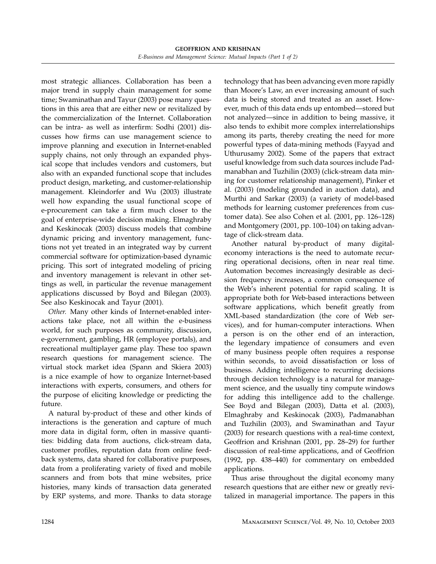most strategic alliances. Collaboration has been a major trend in supply chain management for some time; Swaminathan and Tayur (2003) pose many questions in this area that are either new or revitalized by the commercialization of the Internet. Collaboration can be intra- as well as interfirm: Sodhi (2001) discusses how firms can use management science to improve planning and execution in Internet-enabled supply chains, not only through an expanded physical scope that includes vendors and customers, but also with an expanded functional scope that includes product design, marketing, and customer-relationship management. Kleindorfer and Wu (2003) illustrate well how expanding the usual functional scope of e-procurement can take a firm much closer to the goal of enterprise-wide decision making. Elmaghraby and Keskinocak (2003) discuss models that combine dynamic pricing and inventory management, functions not yet treated in an integrated way by current commercial software for optimization-based dynamic pricing. This sort of integrated modeling of pricing and inventory management is relevant in other settings as well, in particular the revenue management applications discussed by Boyd and Bilegan (2003). See also Keskinocak and Tayur (2001).

Other. Many other kinds of Internet-enabled interactions take place, not all within the e-business world, for such purposes as community, discussion, e-government, gambling, HR (employee portals), and recreational multiplayer game play. These too spawn research questions for management science. The virtual stock market idea (Spann and Skiera 2003) is a nice example of how to organize Internet-based interactions with experts, consumers, and others for the purpose of eliciting knowledge or predicting the future.

A natural by-product of these and other kinds of interactions is the generation and capture of much more data in digital form, often in massive quantities: bidding data from auctions, click-stream data, customer profiles, reputation data from online feedback systems, data shared for collaborative purposes, data from a proliferating variety of fixed and mobile scanners and from bots that mine websites, price histories, many kinds of transaction data generated by ERP systems, and more. Thanks to data storage

technology that has been advancing even more rapidly than Moore's Law, an ever increasing amount of such data is being stored and treated as an asset. However, much of this data ends up entombed—stored but not analyzed—since in addition to being massive, it also tends to exhibit more complex interrelationships among its parts, thereby creating the need for more powerful types of data-mining methods (Fayyad and Uthurusamy 2002). Some of the papers that extract useful knowledge from such data sources include Padmanabhan and Tuzhilin (2003) (click-stream data mining for customer relationship management), Pinker et al. (2003) (modeling grounded in auction data), and Murthi and Sarkar (2003) (a variety of model-based methods for learning customer preferences from customer data). See also Cohen et al. (2001, pp. 126–128) and Montgomery (2001, pp. 100–104) on taking advantage of click-stream data.

Another natural by-product of many digitaleconomy interactions is the need to automate recurring operational decisions, often in near real time. Automation becomes increasingly desirable as decision frequency increases, a common consequence of the Web's inherent potential for rapid scaling. It is appropriate both for Web-based interactions between software applications, which benefit greatly from XML-based standardization (the core of Web services), and for human-computer interactions. When a person is on the other end of an interaction, the legendary impatience of consumers and even of many business people often requires a response within seconds, to avoid dissatisfaction or loss of business. Adding intelligence to recurring decisions through decision technology is a natural for management science, and the usually tiny compute windows for adding this intelligence add to the challenge. See Boyd and Bilegan (2003), Datta et al. (2003), Elmaghraby and Keskinocak (2003), Padmanabhan and Tuzhilin (2003), and Swaminathan and Tayur (2003) for research questions with a real-time context, Geoffrion and Krishnan (2001, pp. 28–29) for further discussion of real-time applications, and of Geoffrion (1992, pp. 438–440) for commentary on embedded applications.

Thus arise throughout the digital economy many research questions that are either new or greatly revitalized in managerial importance. The papers in this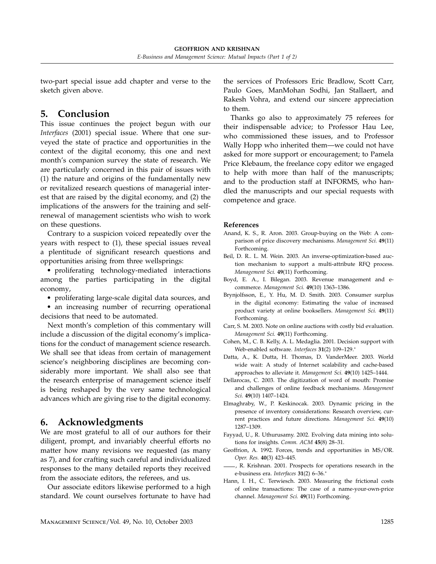two-part special issue add chapter and verse to the sketch given above.

## 5. Conclusion

This issue continues the project begun with our Interfaces (2001) special issue. Where that one surveyed the state of practice and opportunities in the context of the digital economy, this one and next month's companion survey the state of research. We are particularly concerned in this pair of issues with (1) the nature and origins of the fundamentally new or revitalized research questions of managerial interest that are raised by the digital economy, and (2) the implications of the answers for the training and selfrenewal of management scientists who wish to work on these questions.

Contrary to a suspicion voiced repeatedly over the years with respect to (1), these special issues reveal a plentitude of significant research questions and opportunities arising from three wellsprings:

• proliferating technology-mediated interactions among the parties participating in the digital economy,

• proliferating large-scale digital data sources, and

• an increasing number of recurring operational decisions that need to be automated.

Next month's completion of this commentary will include a discussion of the digital economy's implications for the conduct of management science research. We shall see that ideas from certain of management science's neighboring disciplines are becoming considerably more important. We shall also see that the research enterprise of management science itself is being reshaped by the very same technological advances which are giving rise to the digital economy.

## 6. Acknowledgments

We are most grateful to all of our authors for their diligent, prompt, and invariably cheerful efforts no matter how many revisions we requested (as many as 7), and for crafting such careful and individualized responses to the many detailed reports they received from the associate editors, the referees, and us.

Our associate editors likewise performed to a high standard. We count ourselves fortunate to have had

the services of Professors Eric Bradlow, Scott Carr, Paulo Goes, ManMohan Sodhi, Jan Stallaert, and Rakesh Vohra, and extend our sincere appreciation to them.

Thanks go also to approximately 75 referees for their indispensable advice; to Professor Hau Lee, who commissioned these issues, and to Professor Wally Hopp who inherited them—we could not have asked for more support or encouragement; to Pamela Price Klebaum, the freelance copy editor we engaged to help with more than half of the manuscripts; and to the production staff at INFORMS, who handled the manuscripts and our special requests with competence and grace.

#### References

- Anand, K. S., R. Aron. 2003. Group-buying on the Web: A comparison of price discovery mechanisms. Management Sci. 49(11) Forthcoming.
- Beil, D. R.. L. M. Wein. 2003. An inverse-optimization-based auction mechanism to support a multi-attribute RFQ process. Management Sci. 49(11) Forthcoming.
- Boyd, E. A., I. Bilegan. 2003. Revenue management and ecommerce. Management Sci. 49(10) 1363-1386.
- Brynjolfsson, E., Y. Hu, M. D. Smith. 2003. Consumer surplus in the digital economy: Estimating the value of increased product variety at online booksellers. Management Sci. 49(11) Forthcoming.
- Carr, S. M. 2003. Note on online auctions with costly bid evaluation. Management Sci. 49(11) Forthcoming.
- Cohen, M., C. B. Kelly, A. L. Medaglia. 2001. Decision support with Web-enabled software. Interfaces 31(2) 109-129.<sup>∗</sup>
- Datta, A., K. Dutta, H. Thomas, D. VanderMeer. 2003. World wide wait: A study of Internet scalability and cache-based approaches to alleviate it. Management Sci. 49(10) 1425–1444.
- Dellarocas, C. 2003. The digitization of word of mouth: Promise and challenges of online feedback mechanisms. Management Sci. 49(10) 1407–1424.
- Elmaghraby, W., P. Keskinocak. 2003. Dynamic pricing in the presence of inventory considerations: Research overview, current practices and future directions. Management Sci. 49(10) 1287–1309.
- Fayyad, U., R. Uthurusamy. 2002. Evolving data mining into solutions for insights. Comm. ACM 45(8) 28–31.
- Geoffrion, A. 1992. Forces, trends and opportunities in MS/OR. Oper. Res. 40(3) 423–445.
- , R. Krishnan. 2001. Prospects for operations research in the e-business era. Interfaces 31(2) 6–36.<sup>∗</sup>
- Hann, I. H., C. Terwiesch. 2003. Measuring the frictional costs of online transactions: The case of a name-your-own-price channel. Management Sci. 49(11) Forthcoming.